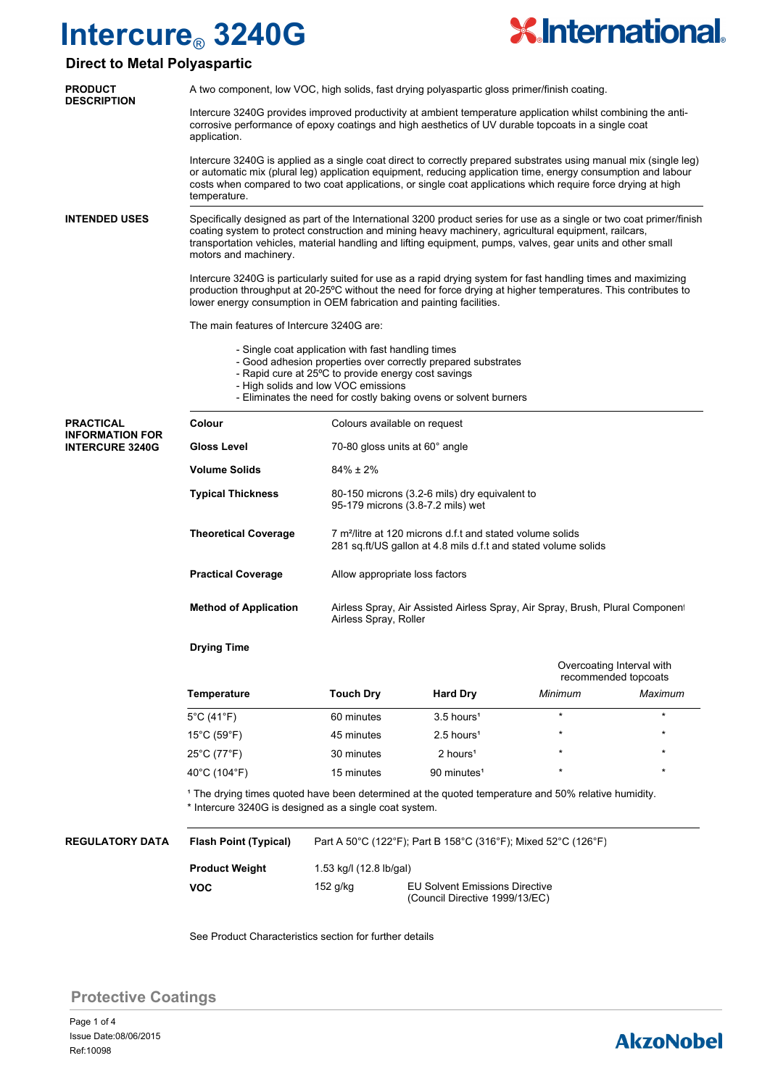

## **Direct to Metal Polyaspartic**

| <b>PRODUCT</b><br><b>DESCRIPTION</b>             | A two component, low VOC, high solids, fast drying polyaspartic gloss primer/finish coating.                                                                                                                                                                                                                                                                         |                                                                                                                                         |                                |                                                   |         |  |  |  |
|--------------------------------------------------|----------------------------------------------------------------------------------------------------------------------------------------------------------------------------------------------------------------------------------------------------------------------------------------------------------------------------------------------------------------------|-----------------------------------------------------------------------------------------------------------------------------------------|--------------------------------|---------------------------------------------------|---------|--|--|--|
|                                                  | Intercure 3240G provides improved productivity at ambient temperature application whilst combining the anti-<br>corrosive performance of epoxy coatings and high aesthetics of UV durable topcoats in a single coat<br>application.                                                                                                                                  |                                                                                                                                         |                                |                                                   |         |  |  |  |
|                                                  | Intercure 3240G is applied as a single coat direct to correctly prepared substrates using manual mix (single leg)<br>or automatic mix (plural leg) application equipment, reducing application time, energy consumption and labour<br>costs when compared to two coat applications, or single coat applications which require force drying at high<br>temperature.   |                                                                                                                                         |                                |                                                   |         |  |  |  |
| <b>INTENDED USES</b>                             | Specifically designed as part of the International 3200 product series for use as a single or two coat primer/finish<br>coating system to protect construction and mining heavy machinery, agricultural equipment, railcars,<br>transportation vehicles, material handling and lifting equipment, pumps, valves, gear units and other small<br>motors and machinery. |                                                                                                                                         |                                |                                                   |         |  |  |  |
|                                                  | Intercure 3240G is particularly suited for use as a rapid drying system for fast handling times and maximizing<br>production throughput at 20-25°C without the need for force drying at higher temperatures. This contributes to<br>lower energy consumption in OEM fabrication and painting facilities.                                                             |                                                                                                                                         |                                |                                                   |         |  |  |  |
|                                                  | The main features of Intercure 3240G are:                                                                                                                                                                                                                                                                                                                            |                                                                                                                                         |                                |                                                   |         |  |  |  |
|                                                  | - Single coat application with fast handling times<br>- Good adhesion properties over correctly prepared substrates<br>- Rapid cure at 25°C to provide energy cost savings<br>- High solids and low VOC emissions<br>- Eliminates the need for costly baking ovens or solvent burners                                                                                |                                                                                                                                         |                                |                                                   |         |  |  |  |
| <b>PRACTICAL</b>                                 | Colour                                                                                                                                                                                                                                                                                                                                                               | Colours available on request                                                                                                            |                                |                                                   |         |  |  |  |
| <b>INFORMATION FOR</b><br><b>INTERCURE 3240G</b> | Gloss Level                                                                                                                                                                                                                                                                                                                                                          | 70-80 gloss units at 60° angle                                                                                                          |                                |                                                   |         |  |  |  |
|                                                  | <b>Volume Solids</b>                                                                                                                                                                                                                                                                                                                                                 | $84\% \pm 2\%$                                                                                                                          |                                |                                                   |         |  |  |  |
|                                                  | <b>Typical Thickness</b>                                                                                                                                                                                                                                                                                                                                             | 80-150 microns (3.2-6 mils) dry equivalent to<br>95-179 microns (3.8-7.2 mils) wet                                                      |                                |                                                   |         |  |  |  |
|                                                  | <b>Theoretical Coverage</b>                                                                                                                                                                                                                                                                                                                                          | 7 m <sup>2</sup> /litre at 120 microns d.f.t and stated volume solids<br>281 sq.ft/US gallon at 4.8 mils d.f.t and stated volume solids |                                |                                                   |         |  |  |  |
|                                                  | <b>Practical Coverage</b>                                                                                                                                                                                                                                                                                                                                            | Allow appropriate loss factors                                                                                                          |                                |                                                   |         |  |  |  |
|                                                  | <b>Method of Application</b>                                                                                                                                                                                                                                                                                                                                         | Airless Spray, Air Assisted Airless Spray, Air Spray, Brush, Plural Componen<br>Airless Spray, Roller                                   |                                |                                                   |         |  |  |  |
|                                                  | <b>Drying Time</b>                                                                                                                                                                                                                                                                                                                                                   |                                                                                                                                         |                                |                                                   |         |  |  |  |
|                                                  |                                                                                                                                                                                                                                                                                                                                                                      |                                                                                                                                         |                                | Overcoating Interval with<br>recommended topcoats |         |  |  |  |
|                                                  | Temperature                                                                                                                                                                                                                                                                                                                                                          | <b>Touch Dry</b>                                                                                                                        | <b>Hard Dry</b>                | Minimum                                           | Maximum |  |  |  |
|                                                  | $5^{\circ}$ C (41 $^{\circ}$ F)                                                                                                                                                                                                                                                                                                                                      | 60 minutes                                                                                                                              | $3.5$ hours <sup>1</sup>       | $\star$                                           | $\star$ |  |  |  |
|                                                  | $15^{\circ}$ C (59 $^{\circ}$ F)                                                                                                                                                                                                                                                                                                                                     | 45 minutes                                                                                                                              | 2.5 hours <sup>1</sup>         |                                                   |         |  |  |  |
|                                                  | 25°C (77°F)                                                                                                                                                                                                                                                                                                                                                          | 30 minutes                                                                                                                              | 2 hours <sup>1</sup>           |                                                   |         |  |  |  |
|                                                  | 40°C (104°F)                                                                                                                                                                                                                                                                                                                                                         | 15 minutes                                                                                                                              | 90 minutes <sup>1</sup>        |                                                   |         |  |  |  |
|                                                  | <sup>1</sup> The drying times quoted have been determined at the quoted temperature and 50% relative humidity.<br>* Intercure 3240G is designed as a single coat system.                                                                                                                                                                                             |                                                                                                                                         |                                |                                                   |         |  |  |  |
| <b>REGULATORY DATA</b>                           | <b>Flash Point (Typical)</b>                                                                                                                                                                                                                                                                                                                                         | Part A 50°C (122°F); Part B 158°C (316°F); Mixed 52°C (126°F)                                                                           |                                |                                                   |         |  |  |  |
|                                                  | <b>Product Weight</b>                                                                                                                                                                                                                                                                                                                                                | 1.53 kg/l (12.8 lb/gal)                                                                                                                 |                                |                                                   |         |  |  |  |
|                                                  | <b>VOC</b>                                                                                                                                                                                                                                                                                                                                                           | 152 g/kg                                                                                                                                | EU Solvent Emissions Directive |                                                   |         |  |  |  |

See Product Characteristics section for further details

(Council Directive 1999/13/EC)

### **Protective Coatings**

## **AkzoNobel**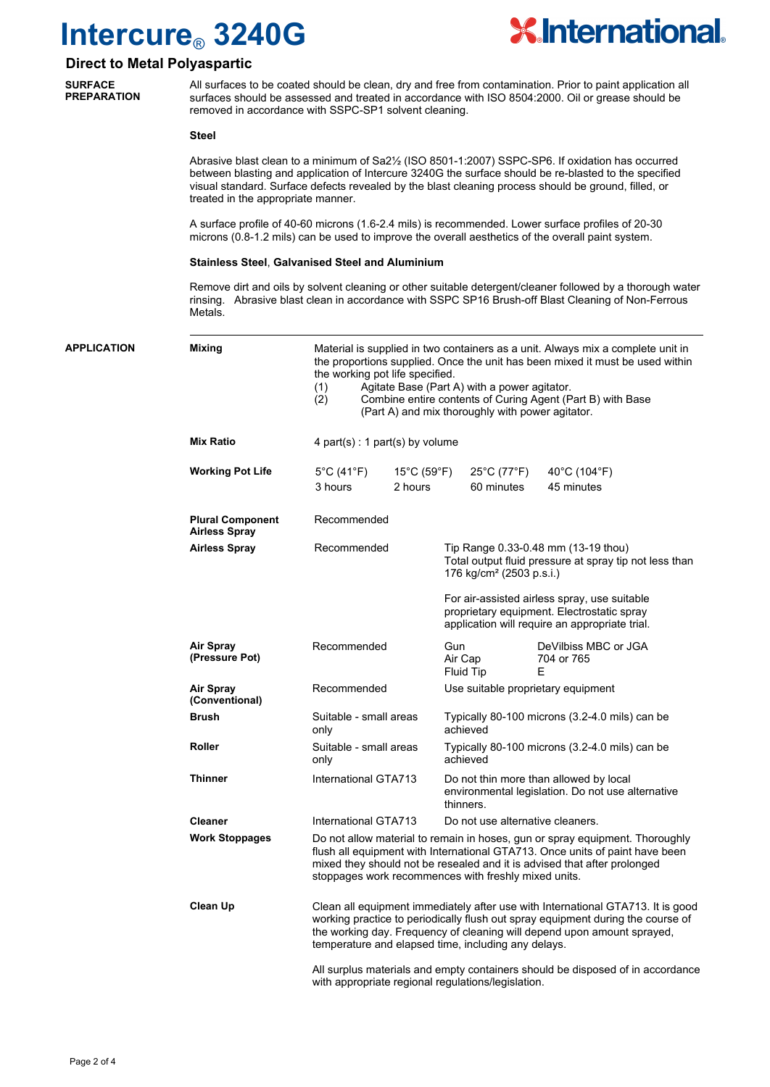

### **Direct to Metal Polyaspartic**

**SURFACE PREPARATION**

All surfaces to be coated should be clean, dry and free from contamination. Prior to paint application all surfaces should be assessed and treated in accordance with ISO 8504:2000. Oil or grease should be removed in accordance with SSPC-SP1 solvent cleaning.

**Steel**

Abrasive blast clean to a minimum of Sa2½ (ISO 8501-1:2007) SSPC-SP6. If oxidation has occurred between blasting and application of Intercure 3240G the surface should be re-blasted to the specified visual standard. Surface defects revealed by the blast cleaning process should be ground, filled, or treated in the appropriate manner.

A surface profile of 40-60 microns (1.6-2.4 mils) is recommended. Lower surface profiles of 20-30 microns (0.8-1.2 mils) can be used to improve the overall aesthetics of the overall paint system.

#### **Stainless Steel**, **Galvanised Steel and Aluminium**

Remove dirt and oils by solvent cleaning or other suitable detergent/cleaner followed by a thorough water rinsing. Abrasive blast clean in accordance with SSPC SP16 Brush-off Blast Cleaning of Non-Ferrous Metals.

| APPLICATION | <b>Mixing</b>                                   | Material is supplied in two containers as a unit. Always mix a complete unit in<br>the proportions supplied. Once the unit has been mixed it must be used within<br>the working pot life specified.<br>Agitate Base (Part A) with a power agitator.<br>(1)<br>(2)<br>Combine entire contents of Curing Agent (Part B) with Base<br>(Part A) and mix thoroughly with power agitator. |                                             |                                                                                                                                       |                                                                                                                                              |                                                 |  |
|-------------|-------------------------------------------------|-------------------------------------------------------------------------------------------------------------------------------------------------------------------------------------------------------------------------------------------------------------------------------------------------------------------------------------------------------------------------------------|---------------------------------------------|---------------------------------------------------------------------------------------------------------------------------------------|----------------------------------------------------------------------------------------------------------------------------------------------|-------------------------------------------------|--|
|             | <b>Mix Ratio</b>                                | 4 part(s) : 1 part(s) by volume                                                                                                                                                                                                                                                                                                                                                     |                                             |                                                                                                                                       |                                                                                                                                              |                                                 |  |
|             | <b>Working Pot Life</b>                         | 5°C (41°F)<br>3 hours                                                                                                                                                                                                                                                                                                                                                               | $15^{\circ}$ C (59 $^{\circ}$ F)<br>2 hours |                                                                                                                                       | $25^{\circ}$ C (77 $^{\circ}$ F)<br>60 minutes                                                                                               | $40^{\circ}$ C (104 $^{\circ}$ F)<br>45 minutes |  |
|             | <b>Plural Component</b><br><b>Airless Spray</b> | Recommended                                                                                                                                                                                                                                                                                                                                                                         |                                             |                                                                                                                                       |                                                                                                                                              |                                                 |  |
|             | <b>Airless Spray</b>                            | Recommended                                                                                                                                                                                                                                                                                                                                                                         |                                             | Tip Range 0.33-0.48 mm (13-19 thou)<br>Total output fluid pressure at spray tip not less than<br>176 kg/cm <sup>2</sup> (2503 p.s.i.) |                                                                                                                                              |                                                 |  |
|             |                                                 |                                                                                                                                                                                                                                                                                                                                                                                     |                                             |                                                                                                                                       | For air-assisted airless spray, use suitable<br>proprietary equipment. Electrostatic spray<br>application will require an appropriate trial. |                                                 |  |
|             | <b>Air Spray</b><br>(Pressure Pot)              | Recommended                                                                                                                                                                                                                                                                                                                                                                         |                                             | Gun<br>Air Cap<br>Fluid Tip                                                                                                           |                                                                                                                                              | DeVilbiss MBC or JGA<br>704 or 765<br>E         |  |
|             | <b>Air Spray</b><br>(Conventional)              | Recommended                                                                                                                                                                                                                                                                                                                                                                         |                                             | Use suitable proprietary equipment                                                                                                    |                                                                                                                                              |                                                 |  |
|             | <b>Brush</b>                                    | Suitable - small areas<br>only                                                                                                                                                                                                                                                                                                                                                      |                                             | Typically 80-100 microns (3.2-4.0 mils) can be<br>achieved                                                                            |                                                                                                                                              |                                                 |  |
|             | <b>Roller</b>                                   | Suitable - small areas<br>only                                                                                                                                                                                                                                                                                                                                                      |                                             | Typically 80-100 microns (3.2-4.0 mils) can be<br>achieved                                                                            |                                                                                                                                              |                                                 |  |
|             | <b>Thinner</b>                                  | International GTA713                                                                                                                                                                                                                                                                                                                                                                |                                             | Do not thin more than allowed by local<br>environmental legislation. Do not use alternative<br>thinners.                              |                                                                                                                                              |                                                 |  |
|             | <b>Cleaner</b>                                  | International GTA713                                                                                                                                                                                                                                                                                                                                                                |                                             | Do not use alternative cleaners.                                                                                                      |                                                                                                                                              |                                                 |  |
|             | <b>Work Stoppages</b>                           | Do not allow material to remain in hoses, gun or spray equipment. Thoroughly<br>flush all equipment with International GTA713. Once units of paint have been<br>mixed they should not be resealed and it is advised that after prolonged<br>stoppages work recommences with freshly mixed units.                                                                                    |                                             |                                                                                                                                       |                                                                                                                                              |                                                 |  |
|             | Clean Up                                        | Clean all equipment immediately after use with International GTA713. It is good<br>working practice to periodically flush out spray equipment during the course of<br>the working day. Frequency of cleaning will depend upon amount sprayed,<br>temperature and elapsed time, including any delays.                                                                                |                                             |                                                                                                                                       |                                                                                                                                              |                                                 |  |
|             |                                                 | All surplus materials and empty containers should be disposed of in accordance<br>with appropriate regional regulations/legislation.                                                                                                                                                                                                                                                |                                             |                                                                                                                                       |                                                                                                                                              |                                                 |  |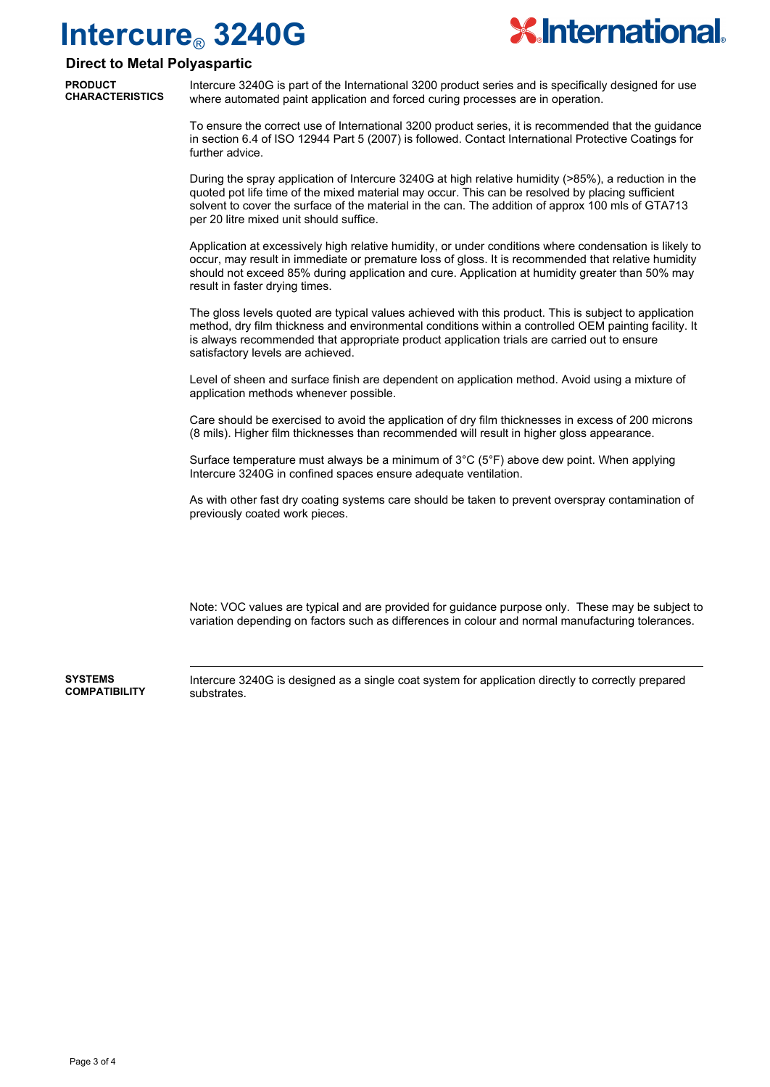

### **Direct to Metal Polyaspartic**

**PRODUCT CHARACTERISTICS**

Intercure 3240G is part of the International 3200 product series and is specifically designed for use where automated paint application and forced curing processes are in operation.

To ensure the correct use of International 3200 product series, it is recommended that the guidance in section 6.4 of ISO 12944 Part 5 (2007) is followed. Contact International Protective Coatings for further advice.

During the spray application of Intercure 3240G at high relative humidity (>85%), a reduction in the quoted pot life time of the mixed material may occur. This can be resolved by placing sufficient solvent to cover the surface of the material in the can. The addition of approx 100 mls of GTA713 per 20 litre mixed unit should suffice.

Application at excessively high relative humidity, or under conditions where condensation is likely to occur, may result in immediate or premature loss of gloss. It is recommended that relative humidity should not exceed 85% during application and cure. Application at humidity greater than 50% may result in faster drying times.

The gloss levels quoted are typical values achieved with this product. This is subject to application method, dry film thickness and environmental conditions within a controlled OEM painting facility. It is always recommended that appropriate product application trials are carried out to ensure satisfactory levels are achieved.

Level of sheen and surface finish are dependent on application method. Avoid using a mixture of application methods whenever possible.

Care should be exercised to avoid the application of dry film thicknesses in excess of 200 microns (8 mils). Higher film thicknesses than recommended will result in higher gloss appearance.

Surface temperature must always be a minimum of 3°C (5°F) above dew point. When applying Intercure 3240G in confined spaces ensure adequate ventilation.

As with other fast dry coating systems care should be taken to prevent overspray contamination of previously coated work pieces.

Note: VOC values are typical and are provided for guidance purpose only. These may be subject to variation depending on factors such as differences in colour and normal manufacturing tolerances.

**SYSTEMS COMPATIBILITY** Intercure 3240G is designed as a single coat system for application directly to correctly prepared substrates.